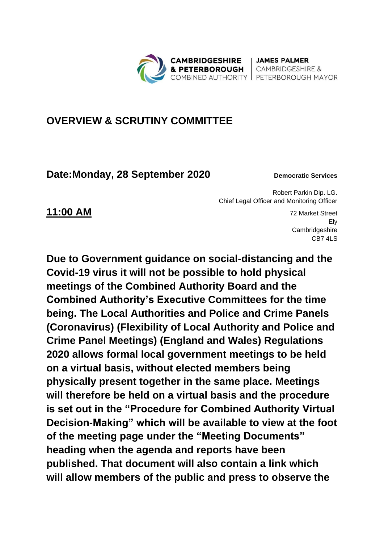**CAMBRIDGESHIRE** & PETERBOROUGH COMBINED AUTHORITY | PETERBOROUGH MAYOR

| JAMES PALMER **CAMBRIDGESHIRE &** 

## **OVERVIEW & SCRUTINY COMMITTEE**

## **Date:Monday, 28 September 2020 Democratic Services**

Robert Parkin Dip. LG. Chief Legal Officer and Monitoring Officer

**11:00 AM** 72 Market Street Ely **Cambridgeshire** CB7 4LS

**Due to Government guidance on social-distancing and the Covid-19 virus it will not be possible to hold physical meetings of the Combined Authority Board and the Combined Authority's Executive Committees for the time being. The Local Authorities and Police and Crime Panels (Coronavirus) (Flexibility of Local Authority and Police and Crime Panel Meetings) (England and Wales) Regulations 2020 allows formal local government meetings to be held on a virtual basis, without elected members being physically present together in the same place. Meetings will therefore be held on a virtual basis and the procedure is set out in the "Procedure for Combined Authority Virtual Decision-Making" which will be available to view at the foot of the meeting page under the "Meeting Documents" heading when the agenda and reports have been published. That document will also contain a link which will allow members of the public and press to observe the**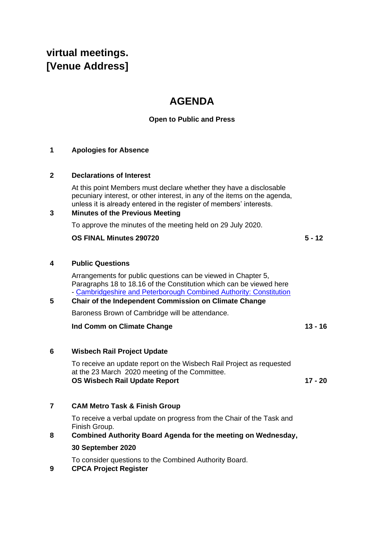# **virtual meetings. [Venue Address]**

# **AGENDA**

### **Open to Public and Press**

#### **1 Apologies for Absence**

#### **2 Declarations of Interest**

At this point Members must declare whether they have a disclosable pecuniary interest, or other interest, in any of the items on the agenda, unless it is already entered in the register of members' interests.

#### **3 Minutes of the Previous Meeting**

To approve the minutes of the meeting held on 29 July 2020.

#### **OS FINAL Minutes 290720 5 - 12**

**4 Public Questions**

Arrangements for public questions can be viewed in Chapter 5, Paragraphs 18 to 18.16 of the Constitution which can be viewed here - [Cambridgeshire and Peterborough Combined Authority: Constitution](https://cambridgeshirepeterborough-ca.gov.uk/assets/Transparency/Constitution-28-05-2020-on-website.pdf) 

#### **5 Chair of the Independent Commission on Climate Change**

Baroness Brown of Cambridge will be attendance.

#### **Ind Comm on Climate Change 13 - 16**

#### **6 Wisbech Rail Project Update**

To receive an update report on the Wisbech Rail Project as requested at the 23 March 2020 meeting of the Committee. **OS Wisbech Rail Update Report 17 - 20**

#### **7 CAM Metro Task & Finish Group**

To receive a verbal update on progress from the Chair of the Task and Finish Group.

**8 Combined Authority Board Agenda for the meeting on Wednesday, 30 September 2020**

To consider questions to the Combined Authority Board.

**9 CPCA Project Register**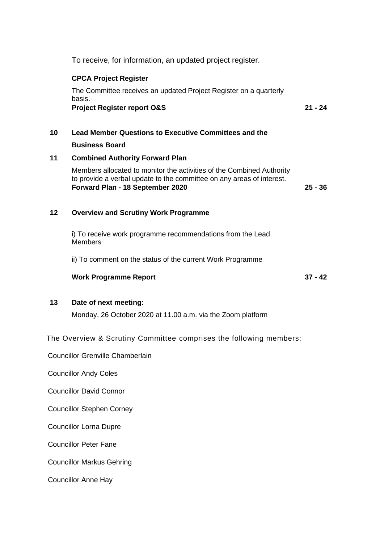To receive, for information, an updated project register.

#### **CPCA Project Register**

The Committee receives an updated Project Register on a quarterly basis. **Project Register report O&S 21 - 24**

**10 Lead Member Questions to Executive Committees and the Business Board**

#### **11 Combined Authority Forward Plan**

Members allocated to monitor the activities of the Combined Authority to provide a verbal update to the committee on any areas of interest. **Forward Plan - 18 September 2020 25 - 36**

#### **12 Overview and Scrutiny Work Programme**

i) To receive work programme recommendations from the Lead Members

ii) To comment on the status of the current Work Programme

#### **Work Programme Report 37 - 42**

#### **13 Date of next meeting:**

Monday, 26 October 2020 at 11.00 a.m. via the Zoom platform

The Overview & Scrutiny Committee comprises the following members:

Councillor Grenville Chamberlain

Councillor Andy Coles

Councillor David Connor

Councillor Stephen Corney

Councillor Lorna Dupre

Councillor Peter Fane

Councillor Markus Gehring

Councillor Anne Hay